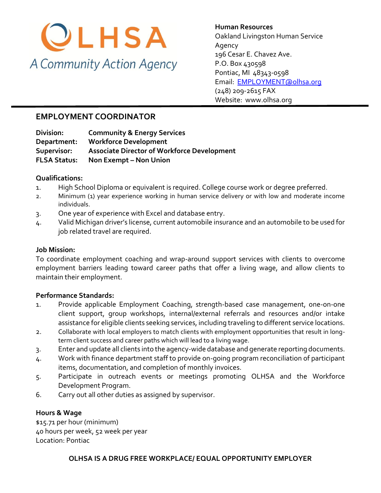

### **Human Resources**  Oakland Livingston Human Service Agency 196 Cesar E. Chavez Ave. P.O. Box 430598 Pontiac, MI 48343-0598 [Email: EMPLOYMENT@olhsa.org](mailto:JamilaT@olhsa.org) (248) 209-2615 FAX Website: www.olhsa.org

# **EMPLOYMENT COORDINATOR**

**Division: Community & Energy Services Department: Workforce Development Supervisor: Associate Director of Workforce Development FLSA Status:** Non Exempt - Non Union

#### **Qualifications:**

- 1. High School Diploma or equivalent is required. College course work or degree preferred.
- 2. Minimum (1) year experience working in human service delivery or with low and moderate income individuals.
- 3. One year of experience with Excel and database entry.
- 4. Valid Michigan driver's license, current automobile insurance and an automobile to be used for job related travel are required.

#### **Job Mission:**

To coordinate employment coaching and wrap-around support services with clients to overcome employment barriers leading toward career paths that offer a living wage, and allow clients to maintain their employment.

#### **Performance Standards:**

- 1. Provide applicable Employment Coaching, strength-based case management, one-on-one client support, group workshops, internal/external referrals and resources and/or intake assistance for eligible clients seeking services, including traveling to different service locations.
- 2. Collaborate with local employers to match clients with employment opportunities that result in longterm client success and career paths which will lead to a living wage.
- 3. Enter and update all clients into the agency-wide database and generate reporting documents.
- 4. Work with finance department staff to provide on-going program reconciliation of participant items, documentation, and completion of monthly invoices.
- 5. Participate in outreach events or meetings promoting OLHSA and the Workforce Development Program.
- 6. Carry out all other duties as assigned by supervisor.

#### **Hours & Wage**

\$15.71 per hour (minimum) 40 hours per week, 52 week per year Location: Pontiac

#### **OLHSA IS A DRUG FREE WORKPLACE/ EQUAL OPPORTUNITY EMPLOYER**